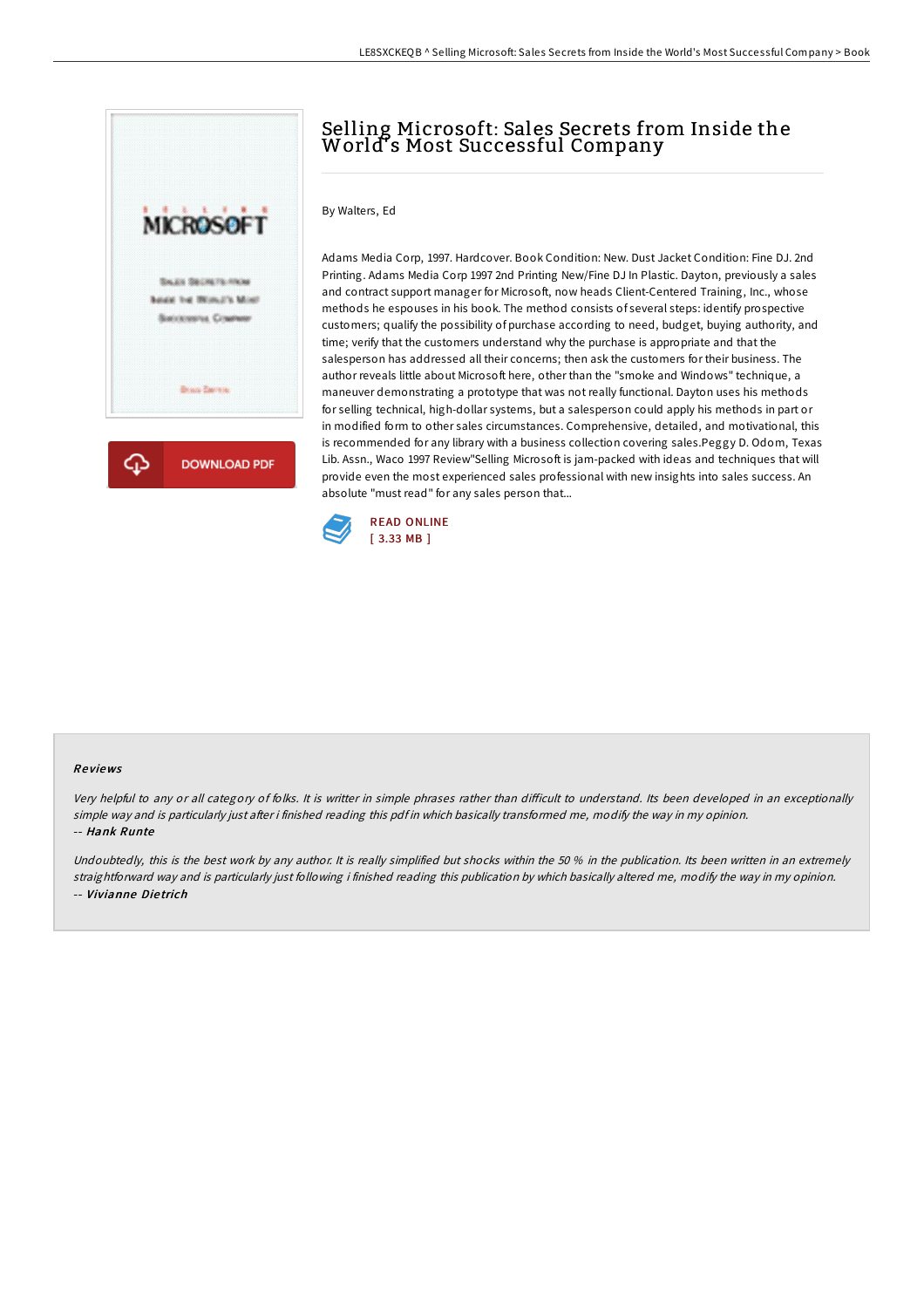

# Selling Microsoft: Sales Secrets from Inside the World's Most Successful Company

### By Walters, Ed

Adams Media Corp, 1997. Hardcover. Book Condition: New. Dust Jacket Condition: Fine DJ. 2nd Printing. Adams Media Corp 1997 2nd Printing New/Fine DJ In Plastic. Dayton, previously a sales and contract support manager for Microsoft, now heads Client-Centered Training, Inc., whose methods he espouses in his book. The method consists of several steps: identify prospective customers; qualify the possibility of purchase according to need, budget, buying authority, and time; verify that the customers understand why the purchase is appropriate and that the salesperson has addressed all their concerns; then ask the customers for their business. The author reveals little about Microsoft here, other than the "smoke and Windows" technique, a maneuver demonstrating a prototype that was not really functional. Dayton uses his methods for selling technical, high-dollar systems, but a salesperson could apply his methods in part or in modified form to other sales circumstances. Comprehensive, detailed, and motivational, this is recommended for any library with a business collection covering sales.Peggy D. Odom, Texas Lib. Assn., Waco 1997 Review"Selling Microsoft is jam-packed with ideas and techniques that will provide even the most experienced sales professional with new insights into sales success. An absolute "must read" for any sales person that...



#### Re views

Very helpful to any or all category of folks. It is writter in simple phrases rather than difficult to understand. Its been developed in an exceptionally simple way and is particularly just after i finished reading this pdf in which basically transformed me, modify the way in my opinion. -- Hank Runte

Undoubtedly, this is the best work by any author. It is really simplified but shocks within the 50 % in the publication. Its been written in an extremely straightforward way and is particularly just following i finished reading this publication by which basically altered me, modify the way in my opinion. -- Vivianne Die trich